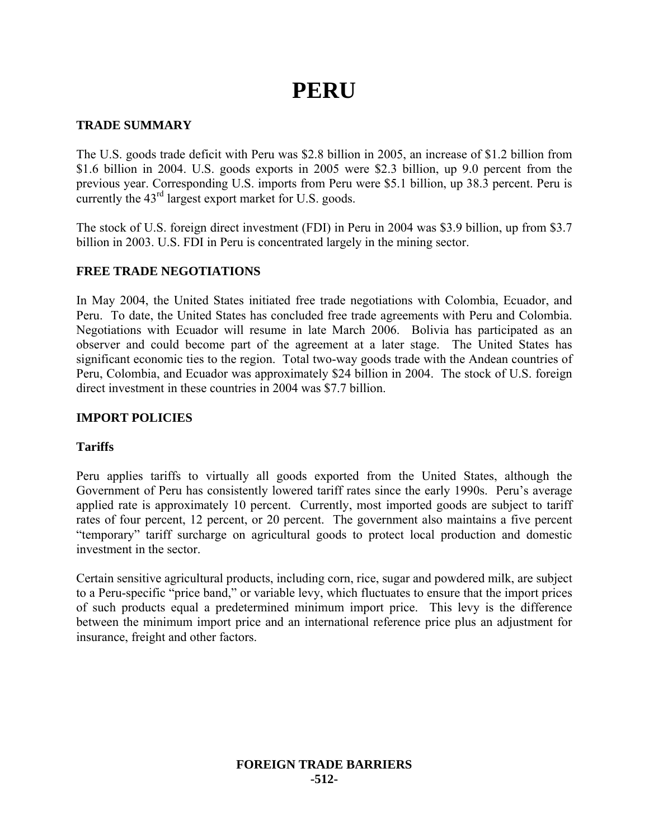# **PERU**

# **TRADE SUMMARY**

The U.S. goods trade deficit with Peru was \$2.8 billion in 2005, an increase of \$1.2 billion from \$1.6 billion in 2004. U.S. goods exports in 2005 were \$2.3 billion, up 9.0 percent from the previous year. Corresponding U.S. imports from Peru were \$5.1 billion, up 38.3 percent. Peru is currently the  $43<sup>rd</sup>$  largest export market for U.S. goods.

The stock of U.S. foreign direct investment (FDI) in Peru in 2004 was \$3.9 billion, up from \$3.7 billion in 2003. U.S. FDI in Peru is concentrated largely in the mining sector.

# **FREE TRADE NEGOTIATIONS**

In May 2004, the United States initiated free trade negotiations with Colombia, Ecuador, and Peru. To date, the United States has concluded free trade agreements with Peru and Colombia. Negotiations with Ecuador will resume in late March 2006. Bolivia has participated as an observer and could become part of the agreement at a later stage. The United States has significant economic ties to the region. Total two-way goods trade with the Andean countries of Peru, Colombia, and Ecuador was approximately \$24 billion in 2004. The stock of U.S. foreign direct investment in these countries in 2004 was \$7.7 billion.

## **IMPORT POLICIES**

#### **Tariffs**

Peru applies tariffs to virtually all goods exported from the United States, although the Government of Peru has consistently lowered tariff rates since the early 1990s. Peru's average applied rate is approximately 10 percent. Currently, most imported goods are subject to tariff rates of four percent, 12 percent, or 20 percent. The government also maintains a five percent "temporary" tariff surcharge on agricultural goods to protect local production and domestic investment in the sector.

Certain sensitive agricultural products, including corn, rice, sugar and powdered milk, are subject to a Peru-specific "price band," or variable levy, which fluctuates to ensure that the import prices of such products equal a predetermined minimum import price. This levy is the difference between the minimum import price and an international reference price plus an adjustment for insurance, freight and other factors.

### **FOREIGN TRADE BARRIERS -512-**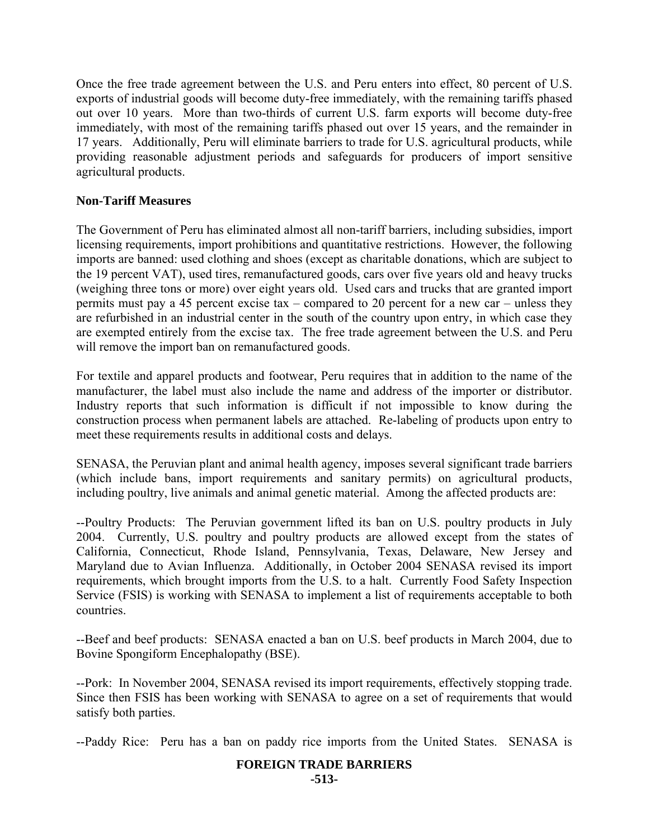Once the free trade agreement between the U.S. and Peru enters into effect, 80 percent of U.S. exports of industrial goods will become duty-free immediately, with the remaining tariffs phased out over 10 years. More than two-thirds of current U.S. farm exports will become duty-free immediately, with most of the remaining tariffs phased out over 15 years, and the remainder in 17 years. Additionally, Peru will eliminate barriers to trade for U.S. agricultural products, while providing reasonable adjustment periods and safeguards for producers of import sensitive agricultural products.

# **Non-Tariff Measures**

The Government of Peru has eliminated almost all non-tariff barriers, including subsidies, import licensing requirements, import prohibitions and quantitative restrictions. However, the following imports are banned: used clothing and shoes (except as charitable donations, which are subject to the 19 percent VAT), used tires, remanufactured goods, cars over five years old and heavy trucks (weighing three tons or more) over eight years old. Used cars and trucks that are granted import permits must pay a 45 percent excise tax – compared to 20 percent for a new car – unless they are refurbished in an industrial center in the south of the country upon entry, in which case they are exempted entirely from the excise tax. The free trade agreement between the U.S. and Peru will remove the import ban on remanufactured goods.

For textile and apparel products and footwear, Peru requires that in addition to the name of the manufacturer, the label must also include the name and address of the importer or distributor. Industry reports that such information is difficult if not impossible to know during the construction process when permanent labels are attached. Re-labeling of products upon entry to meet these requirements results in additional costs and delays.

SENASA, the Peruvian plant and animal health agency, imposes several significant trade barriers (which include bans, import requirements and sanitary permits) on agricultural products, including poultry, live animals and animal genetic material. Among the affected products are:

--Poultry Products: The Peruvian government lifted its ban on U.S. poultry products in July 2004. Currently, U.S. poultry and poultry products are allowed except from the states of California, Connecticut, Rhode Island, Pennsylvania, Texas, Delaware, New Jersey and Maryland due to Avian Influenza. Additionally, in October 2004 SENASA revised its import requirements, which brought imports from the U.S. to a halt. Currently Food Safety Inspection Service (FSIS) is working with SENASA to implement a list of requirements acceptable to both countries.

--Beef and beef products: SENASA enacted a ban on U.S. beef products in March 2004, due to Bovine Spongiform Encephalopathy (BSE).

--Pork: In November 2004, SENASA revised its import requirements, effectively stopping trade. Since then FSIS has been working with SENASA to agree on a set of requirements that would satisfy both parties.

--Paddy Rice: Peru has a ban on paddy rice imports from the United States. SENASA is

# **FOREIGN TRADE BARRIERS**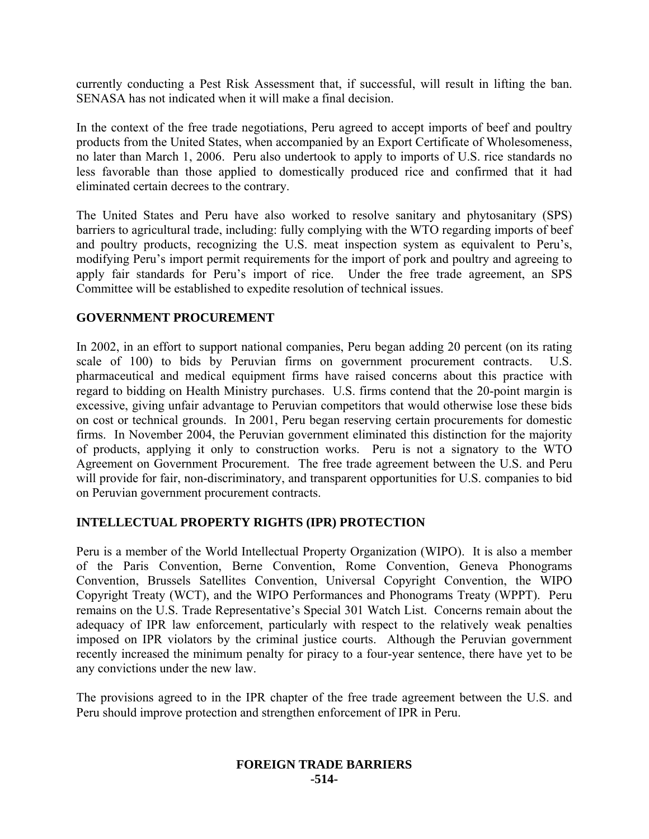currently conducting a Pest Risk Assessment that, if successful, will result in lifting the ban. SENASA has not indicated when it will make a final decision.

In the context of the free trade negotiations, Peru agreed to accept imports of beef and poultry products from the United States, when accompanied by an Export Certificate of Wholesomeness, no later than March 1, 2006. Peru also undertook to apply to imports of U.S. rice standards no less favorable than those applied to domestically produced rice and confirmed that it had eliminated certain decrees to the contrary.

The United States and Peru have also worked to resolve sanitary and phytosanitary (SPS) barriers to agricultural trade, including: fully complying with the WTO regarding imports of beef and poultry products, recognizing the U.S. meat inspection system as equivalent to Peru's, modifying Peru's import permit requirements for the import of pork and poultry and agreeing to apply fair standards for Peru's import of rice. Under the free trade agreement, an SPS Committee will be established to expedite resolution of technical issues.

# **GOVERNMENT PROCUREMENT**

In 2002, in an effort to support national companies, Peru began adding 20 percent (on its rating scale of 100) to bids by Peruvian firms on government procurement contracts. U.S. pharmaceutical and medical equipment firms have raised concerns about this practice with regard to bidding on Health Ministry purchases. U.S. firms contend that the 20-point margin is excessive, giving unfair advantage to Peruvian competitors that would otherwise lose these bids on cost or technical grounds. In 2001, Peru began reserving certain procurements for domestic firms. In November 2004, the Peruvian government eliminated this distinction for the majority of products, applying it only to construction works. Peru is not a signatory to the WTO Agreement on Government Procurement. The free trade agreement between the U.S. and Peru will provide for fair, non-discriminatory, and transparent opportunities for U.S. companies to bid on Peruvian government procurement contracts.

# **INTELLECTUAL PROPERTY RIGHTS (IPR) PROTECTION**

Peru is a member of the World Intellectual Property Organization (WIPO). It is also a member of the Paris Convention, Berne Convention, Rome Convention, Geneva Phonograms Convention, Brussels Satellites Convention, Universal Copyright Convention, the WIPO Copyright Treaty (WCT), and the WIPO Performances and Phonograms Treaty (WPPT). Peru remains on the U.S. Trade Representative's Special 301 Watch List. Concerns remain about the adequacy of IPR law enforcement, particularly with respect to the relatively weak penalties imposed on IPR violators by the criminal justice courts. Although the Peruvian government recently increased the minimum penalty for piracy to a four-year sentence, there have yet to be any convictions under the new law.

The provisions agreed to in the IPR chapter of the free trade agreement between the U.S. and Peru should improve protection and strengthen enforcement of IPR in Peru.

#### **FOREIGN TRADE BARRIERS -514-**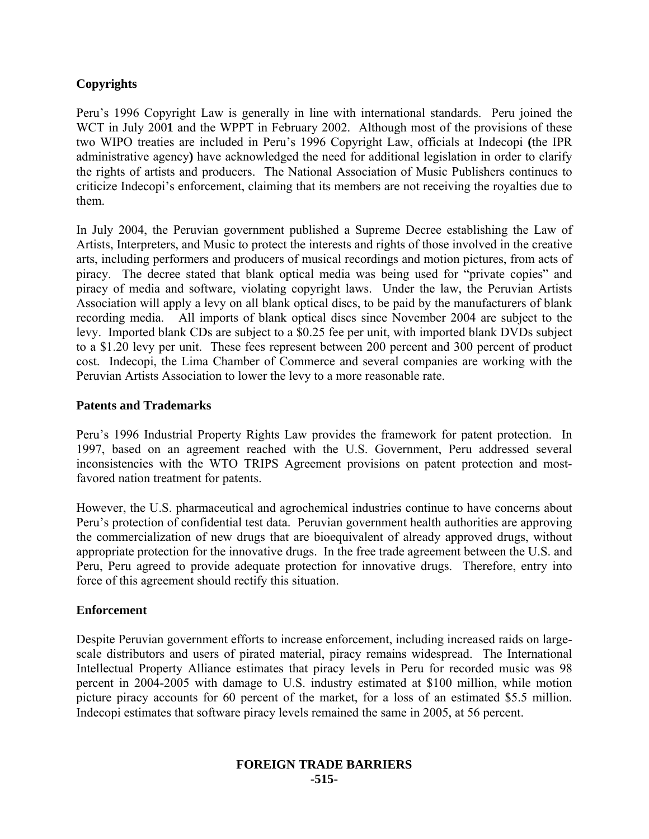# **Copyrights**

Peru's 1996 Copyright Law is generally in line with international standards. Peru joined the WCT in July 2001 and the WPPT in February 2002. Although most of the provisions of these two WIPO treaties are included in Peru's 1996 Copyright Law, officials at Indecopi **(**the IPR administrative agency**)** have acknowledged the need for additional legislation in order to clarify the rights of artists and producers. The National Association of Music Publishers continues to criticize Indecopi's enforcement, claiming that its members are not receiving the royalties due to them.

In July 2004, the Peruvian government published a Supreme Decree establishing the Law of Artists, Interpreters, and Music to protect the interests and rights of those involved in the creative arts, including performers and producers of musical recordings and motion pictures, from acts of piracy. The decree stated that blank optical media was being used for "private copies" and piracy of media and software, violating copyright laws. Under the law, the Peruvian Artists Association will apply a levy on all blank optical discs, to be paid by the manufacturers of blank recording media. All imports of blank optical discs since November 2004 are subject to the levy. Imported blank CDs are subject to a \$0.25 fee per unit, with imported blank DVDs subject to a \$1.20 levy per unit. These fees represent between 200 percent and 300 percent of product cost. Indecopi, the Lima Chamber of Commerce and several companies are working with the Peruvian Artists Association to lower the levy to a more reasonable rate.

# **Patents and Trademarks**

Peru's 1996 Industrial Property Rights Law provides the framework for patent protection. In 1997, based on an agreement reached with the U.S. Government, Peru addressed several inconsistencies with the WTO TRIPS Agreement provisions on patent protection and mostfavored nation treatment for patents.

However, the U.S. pharmaceutical and agrochemical industries continue to have concerns about Peru's protection of confidential test data. Peruvian government health authorities are approving the commercialization of new drugs that are bioequivalent of already approved drugs, without appropriate protection for the innovative drugs. In the free trade agreement between the U.S. and Peru, Peru agreed to provide adequate protection for innovative drugs. Therefore, entry into force of this agreement should rectify this situation.

#### **Enforcement**

Despite Peruvian government efforts to increase enforcement, including increased raids on largescale distributors and users of pirated material, piracy remains widespread. The International Intellectual Property Alliance estimates that piracy levels in Peru for recorded music was 98 percent in 2004-2005 with damage to U.S. industry estimated at \$100 million, while motion picture piracy accounts for 60 percent of the market, for a loss of an estimated \$5.5 million. Indecopi estimates that software piracy levels remained the same in 2005, at 56 percent.

#### **FOREIGN TRADE BARRIERS -515-**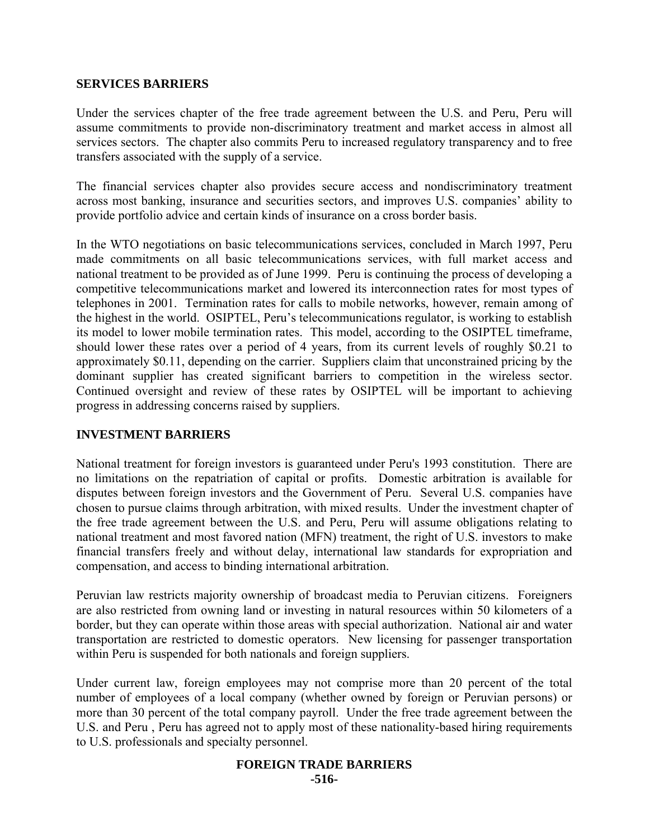#### **SERVICES BARRIERS**

Under the services chapter of the free trade agreement between the U.S. and Peru, Peru will assume commitments to provide non-discriminatory treatment and market access in almost all services sectors. The chapter also commits Peru to increased regulatory transparency and to free transfers associated with the supply of a service.

The financial services chapter also provides secure access and nondiscriminatory treatment across most banking, insurance and securities sectors, and improves U.S. companies' ability to provide portfolio advice and certain kinds of insurance on a cross border basis.

In the WTO negotiations on basic telecommunications services, concluded in March 1997, Peru made commitments on all basic telecommunications services, with full market access and national treatment to be provided as of June 1999. Peru is continuing the process of developing a competitive telecommunications market and lowered its interconnection rates for most types of telephones in 2001. Termination rates for calls to mobile networks, however, remain among of the highest in the world. OSIPTEL, Peru's telecommunications regulator, is working to establish its model to lower mobile termination rates. This model, according to the OSIPTEL timeframe, should lower these rates over a period of 4 years, from its current levels of roughly \$0.21 to approximately \$0.11, depending on the carrier. Suppliers claim that unconstrained pricing by the dominant supplier has created significant barriers to competition in the wireless sector. Continued oversight and review of these rates by OSIPTEL will be important to achieving progress in addressing concerns raised by suppliers.

#### **INVESTMENT BARRIERS**

National treatment for foreign investors is guaranteed under Peru's 1993 constitution. There are no limitations on the repatriation of capital or profits. Domestic arbitration is available for disputes between foreign investors and the Government of Peru. Several U.S. companies have chosen to pursue claims through arbitration, with mixed results. Under the investment chapter of the free trade agreement between the U.S. and Peru, Peru will assume obligations relating to national treatment and most favored nation (MFN) treatment, the right of U.S. investors to make financial transfers freely and without delay, international law standards for expropriation and compensation, and access to binding international arbitration.

Peruvian law restricts majority ownership of broadcast media to Peruvian citizens. Foreigners are also restricted from owning land or investing in natural resources within 50 kilometers of a border, but they can operate within those areas with special authorization. National air and water transportation are restricted to domestic operators. New licensing for passenger transportation within Peru is suspended for both nationals and foreign suppliers.

Under current law, foreign employees may not comprise more than 20 percent of the total number of employees of a local company (whether owned by foreign or Peruvian persons) or more than 30 percent of the total company payroll. Under the free trade agreement between the U.S. and Peru , Peru has agreed not to apply most of these nationality-based hiring requirements to U.S. professionals and specialty personnel.

#### **FOREIGN TRADE BARRIERS -516-**